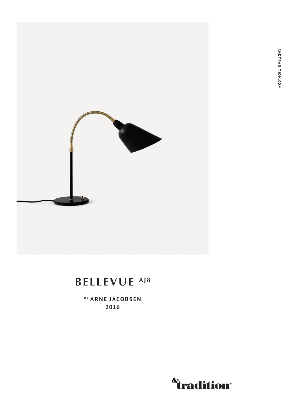

## BELLEVUE<sup>AJ8</sup>

BY ARNE JACOBSEN 2016

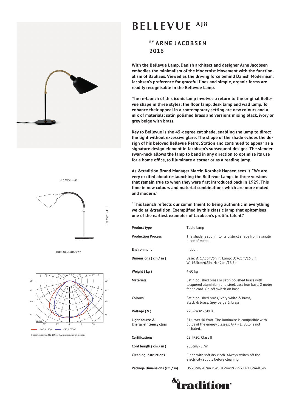

D: 42cm/16.5in



Base: Ø: 17.5cm/6.9in



Photometric data file (LDT or IES) available upon request.

## **BELLEVUE AJ8**

## **BY ARNE JACOBSEN 2016**

**With the Bellevue Lamp, Danish architect and designer Arne Jacobsen embodies the minimalism of the Modernist Movement with the functionalism of Bauhaus. Viewed as the driving force behind Danish Modernism, Jacobsen's preference for graceful lines and simple, organic forms are readily recognisable in the Bellevue Lamp.** 

**The re-launch of this iconic lamp involves a return to the original Bellevue shape in three styles: the floor lamp, desk lamp and wall lamp. To enhance their appeal in a contemporary setting are new colours and a mix of materials: satin polished brass and versions mixing black, ivory or grey beige with brass.**

**Key to Bellevue is the 45-degree cut shade, enabling the lamp to direct the light without excessive glare. The shape of the shade echoes the design of his beloved Bellevue Petrol Station and continued to appear as a signature design element in Jacobsen's subsequent designs. The slender swan-neck allows the lamp to bend in any direction to optimise its use for a home office, to illuminate a corner or as a reading lamp.** 

**As &tradition Brand Manager Martin Kornbek Hansen sees it, "We are very excited about re-launching the Bellevue Lamps in three versions that remain true to when they were first introduced back in 1929. This time in new colours and material combinations which are more muted and modern."** 

**"This launch reflects our commitment to being authentic in everything we do at &tradition. Exemplified by this classic lamp that epitomises one of the earliest examples of Jacobsen's prolific talent."**

| <b>Product type</b>                              | Table lamp                                                                                                                                         |
|--------------------------------------------------|----------------------------------------------------------------------------------------------------------------------------------------------------|
| <b>Production Process</b>                        | The shade is spun into its distinct shape from a single<br>piece of metal.                                                                         |
| <b>Environment</b>                               | Indoor.                                                                                                                                            |
| Dimensions (cm / in)                             | Base: Ø: 17.5cm/6.9in. Lamp: D: 42cm/16.5in,<br>W: 16.5cm/6.5in, H: 42cm/16.5in                                                                    |
| Weight (kg)                                      | 4.60 kg                                                                                                                                            |
| <b>Materials</b>                                 | Satin polished brass or satin polished brass with<br>lacquered aluminium and steel, cast iron base, 2 meter<br>fabric cord. On-off switch on base. |
| <b>Colours</b>                                   | Satin polished brass, Ivory white & brass,<br>Black & brass, Grey beige & brass                                                                    |
| Voltage (V)                                      | 220-240V - 50Hz                                                                                                                                    |
| Light source &<br><b>Energy efficiency class</b> | E14 Max 40 Watt. The luminaire is compatible with<br>bulbs of the energy classes: A++ - E. Bulb is not<br>included.                                |
| <b>Certifications</b>                            | CE, IP20, Class II                                                                                                                                 |
| Cord length (cm / in)                            | 200cm/78.7in                                                                                                                                       |
| <b>Cleaning Instructions</b>                     | Clean with soft dry cloth. Always switch off the<br>electricity supply before cleaning.                                                            |
| Package Dimensions (cm / in)                     | H53.0cm/20.9in x W50.0cm/19.7in x D21.0cm/8.3in                                                                                                    |